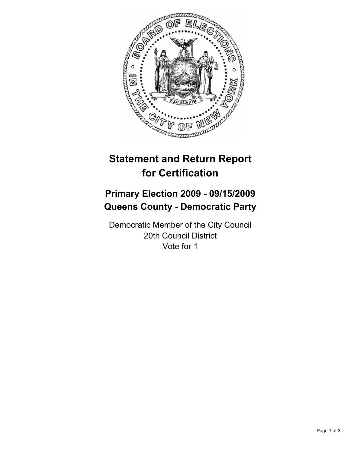

# **Statement and Return Report for Certification**

# **Primary Election 2009 - 09/15/2009 Queens County - Democratic Party**

Democratic Member of the City Council 20th Council District Vote for 1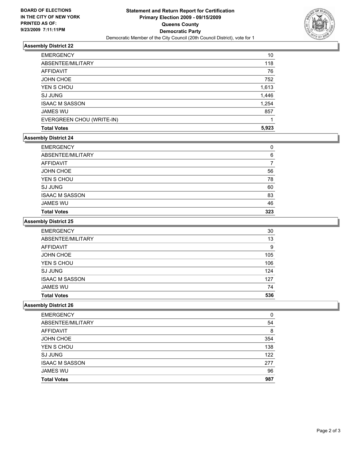

## **Assembly District 22**

| <b>EMERGENCY</b>          | 10    |
|---------------------------|-------|
| ABSENTEE/MILITARY         | 118   |
| <b>AFFIDAVIT</b>          | 76    |
| <b>JOHN CHOE</b>          | 752   |
| YEN S CHOU                | 1,613 |
| <b>SJ JUNG</b>            | 1,446 |
| <b>ISAAC M SASSON</b>     | 1,254 |
| <b>JAMES WU</b>           | 857   |
| EVERGREEN CHOU (WRITE-IN) |       |
| <b>Total Votes</b>        | 5,923 |

#### **Assembly District 24**

| <b>EMERGENCY</b>      | 0   |
|-----------------------|-----|
| ABSENTEE/MILITARY     | 6   |
| AFFIDAVIT             |     |
| JOHN CHOE             | 56  |
| YEN S CHOU            | 78  |
| <b>SJ JUNG</b>        | 60  |
| <b>ISAAC M SASSON</b> | 83  |
| <b>JAMES WU</b>       | 46  |
| <b>Total Votes</b>    | 323 |
|                       |     |

### **Assembly District 25**

| <b>EMERGENCY</b>      | 30  |
|-----------------------|-----|
| ABSENTEE/MILITARY     | 13  |
| AFFIDAVIT             | 9   |
| <b>JOHN CHOE</b>      | 105 |
| YEN S CHOU            | 106 |
| <b>SJ JUNG</b>        | 124 |
| <b>ISAAC M SASSON</b> | 127 |
| <b>JAMES WU</b>       | 74  |
| <b>Total Votes</b>    | 536 |

#### **Assembly District 26**

| <b>EMERGENCY</b>      | 0   |
|-----------------------|-----|
| ABSENTEE/MILITARY     | 54  |
| AFFIDAVIT             | 8   |
| <b>JOHN CHOE</b>      | 354 |
| YEN S CHOU            | 138 |
| <b>SJ JUNG</b>        | 122 |
| <b>ISAAC M SASSON</b> | 277 |
| <b>JAMES WU</b>       | 96  |
| <b>Total Votes</b>    | 987 |